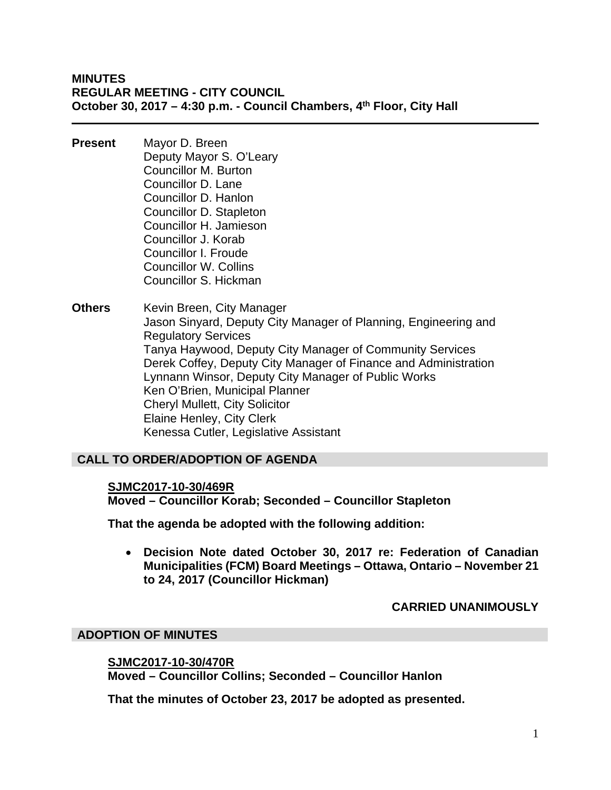## **MINUTES REGULAR MEETING - CITY COUNCIL October 30, 2017 – 4:30 p.m. - Council Chambers, 4th Floor, City Hall**

- **Present** Mayor D. Breen Deputy Mayor S. O'Leary Councillor M. Burton Councillor D. Lane Councillor D. Hanlon Councillor D. Stapleton Councillor H. Jamieson Councillor J. Korab Councillor I. Froude Councillor W. Collins Councillor S. Hickman
- **Others** Kevin Breen, City Manager Jason Sinyard, Deputy City Manager of Planning, Engineering and Regulatory Services Tanya Haywood, Deputy City Manager of Community Services Derek Coffey, Deputy City Manager of Finance and Administration Lynnann Winsor, Deputy City Manager of Public Works Ken O'Brien, Municipal Planner Cheryl Mullett, City Solicitor Elaine Henley, City Clerk Kenessa Cutler, Legislative Assistant

## **CALL TO ORDER/ADOPTION OF AGENDA**

#### **SJMC2017-10-30/469R**

**Moved – Councillor Korab; Seconded – Councillor Stapleton** 

**That the agenda be adopted with the following addition:** 

 **Decision Note dated October 30, 2017 re: Federation of Canadian Municipalities (FCM) Board Meetings – Ottawa, Ontario – November 21 to 24, 2017 (Councillor Hickman)** 

#### **CARRIED UNANIMOUSLY**

#### **ADOPTION OF MINUTES**

#### **SJMC2017-10-30/470R**

**Moved – Councillor Collins; Seconded – Councillor Hanlon** 

**That the minutes of October 23, 2017 be adopted as presented.**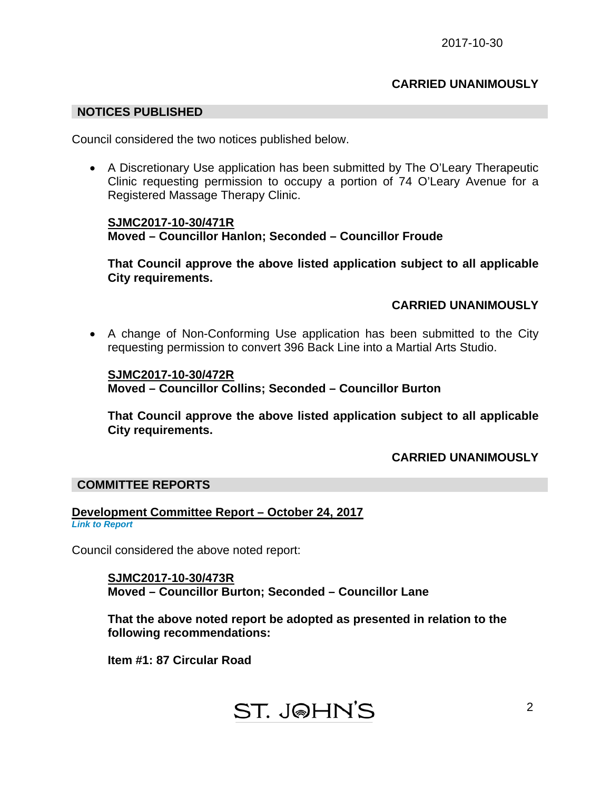## **CARRIED UNANIMOUSLY**

#### **NOTICES PUBLISHED**

Council considered the two notices published below.

 A Discretionary Use application has been submitted by The O'Leary Therapeutic Clinic requesting permission to occupy a portion of 74 O'Leary Avenue for a Registered Massage Therapy Clinic.

### **SJMC2017-10-30/471R Moved – Councillor Hanlon; Seconded – Councillor Froude**

**That Council approve the above listed application subject to all applicable City requirements.** 

## **CARRIED UNANIMOUSLY**

 A change of Non-Conforming Use application has been submitted to the City requesting permission to convert 396 Back Line into a Martial Arts Studio.

### **SJMC2017-10-30/472R Moved – Councillor Collins; Seconded – Councillor Burton**

**That Council approve the above listed application subject to all applicable City requirements.** 

## **CARRIED UNANIMOUSLY**

#### **COMMITTEE REPORTS**

#### **Development Committee Report – October 24, 2017**  *[Link to Report](#page-5-0)*

Council considered the above noted report:

**SJMC2017-10-30/473R Moved – Councillor Burton; Seconded – Councillor Lane** 

**That the above noted report be adopted as presented in relation to the following recommendations:** 

**Item #1: 87 Circular Road**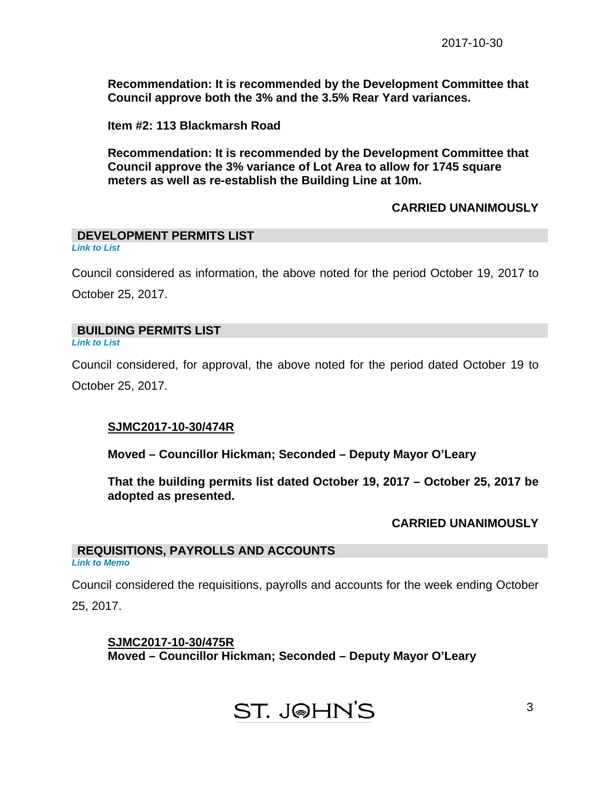**Recommendation: It is recommended by the Development Committee that Council approve both the 3% and the 3.5% Rear Yard variances.** 

**Item #2: 113 Blackmarsh Road** 

**Recommendation: It is recommended by the Development Committee that Council approve the 3% variance of Lot Area to allow for 1745 square meters as well as re-establish the Building Line at 10m.** 

#### **CARRIED UNANIMOUSLY**

#### **DEVELOPMENT PERMITS LIST**  *[Link to List](#page-6-0)*

Council considered as information, the above noted for the period October 19, 2017 to October 25, 2017.

## **BUILDING PERMITS LIST**

*[Link to List](#page-7-0)* 

Council considered, for approval, the above noted for the period dated October 19 to October 25, 2017.

## **SJMC2017-10-30/474R**

**Moved – Councillor Hickman; Seconded – Deputy Mayor O'Leary** 

**That the building permits list dated October 19, 2017 – October 25, 2017 be adopted as presented.** 

#### **CARRIED UNANIMOUSLY**

3

#### **REQUISITIONS, PAYROLLS AND ACCOUNTS**  *[Link to Memo](#page-9-0)*

Council considered the requisitions, payrolls and accounts for the week ending October

25, 2017.

# **SJMC2017-10-30/475R Moved – Councillor Hickman; Seconded – Deputy Mayor O'Leary**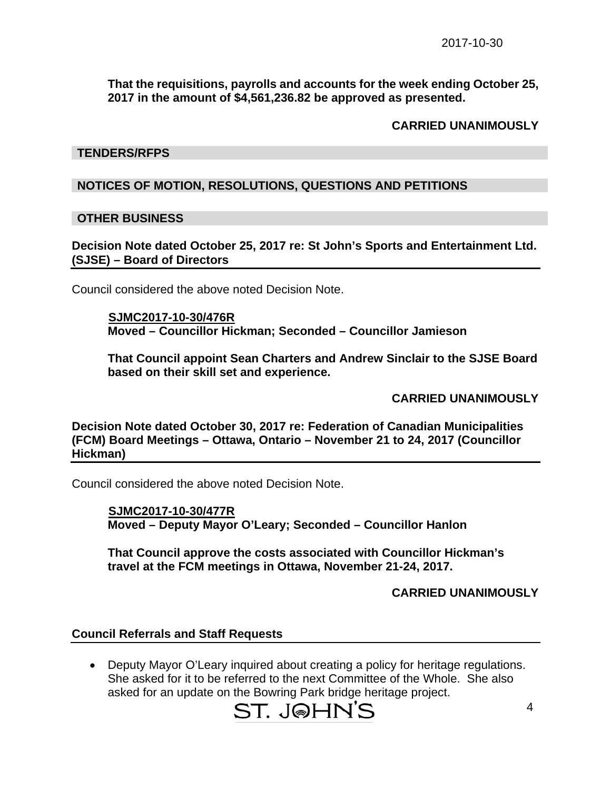**That the requisitions, payrolls and accounts for the week ending October 25, 2017 in the amount of \$4,561,236.82 be approved as presented.** 

## **CARRIED UNANIMOUSLY**

#### **TENDERS/RFPS**

## **NOTICES OF MOTION, RESOLUTIONS, QUESTIONS AND PETITIONS**

#### **OTHER BUSINESS**

**Decision Note dated October 25, 2017 re: St John's Sports and Entertainment Ltd. (SJSE) – Board of Directors** 

Council considered the above noted Decision Note.

 **SJMC2017-10-30/476R Moved – Councillor Hickman; Seconded – Councillor Jamieson** 

**That Council appoint Sean Charters and Andrew Sinclair to the SJSE Board based on their skill set and experience.** 

**CARRIED UNANIMOUSLY** 

**Decision Note dated October 30, 2017 re: Federation of Canadian Municipalities (FCM) Board Meetings – Ottawa, Ontario – November 21 to 24, 2017 (Councillor Hickman)** 

Council considered the above noted Decision Note.

 **SJMC2017-10-30/477R Moved – Deputy Mayor O'Leary; Seconded – Councillor Hanlon** 

**That Council approve the costs associated with Councillor Hickman's travel at the FCM meetings in Ottawa, November 21-24, 2017.** 

## **CARRIED UNANIMOUSLY**

#### **Council Referrals and Staff Requests**

 Deputy Mayor O'Leary inquired about creating a policy for heritage regulations. She asked for it to be referred to the next Committee of the Whole. She also asked for an update on the Bowring Park bridge heritage project.

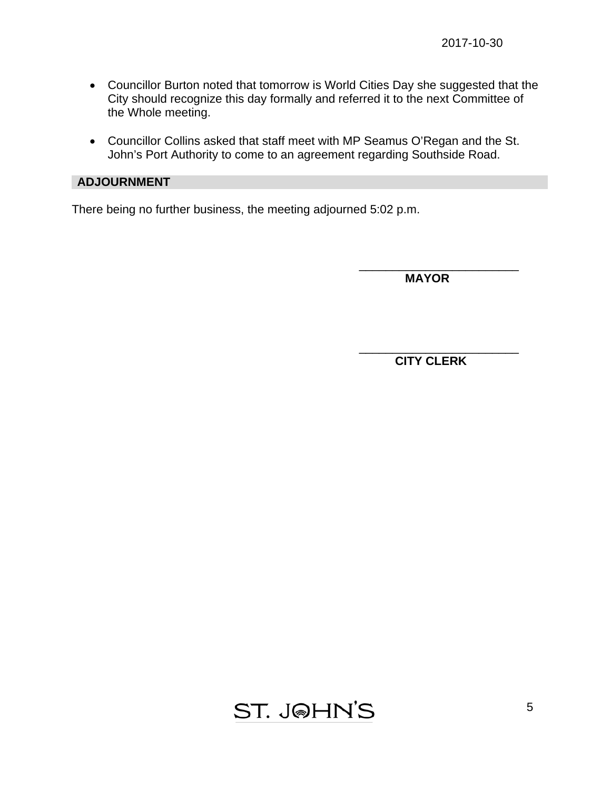- Councillor Burton noted that tomorrow is World Cities Day she suggested that the City should recognize this day formally and referred it to the next Committee of the Whole meeting.
- Councillor Collins asked that staff meet with MP Seamus O'Regan and the St. John's Port Authority to come to an agreement regarding Southside Road.

 $\overline{\phantom{a}}$  , which is a set of the set of the set of the set of the set of the set of the set of the set of the set of the set of the set of the set of the set of the set of the set of the set of the set of the set of th

## **ADJOURNMENT**

There being no further business, the meeting adjourned 5:02 p.m.

 **MAYOR** 

 $\overline{\phantom{a}}$  , and the contract of the contract of the contract of the contract of the contract of the contract of the contract of the contract of the contract of the contract of the contract of the contract of the contrac  **CITY CLERK** 

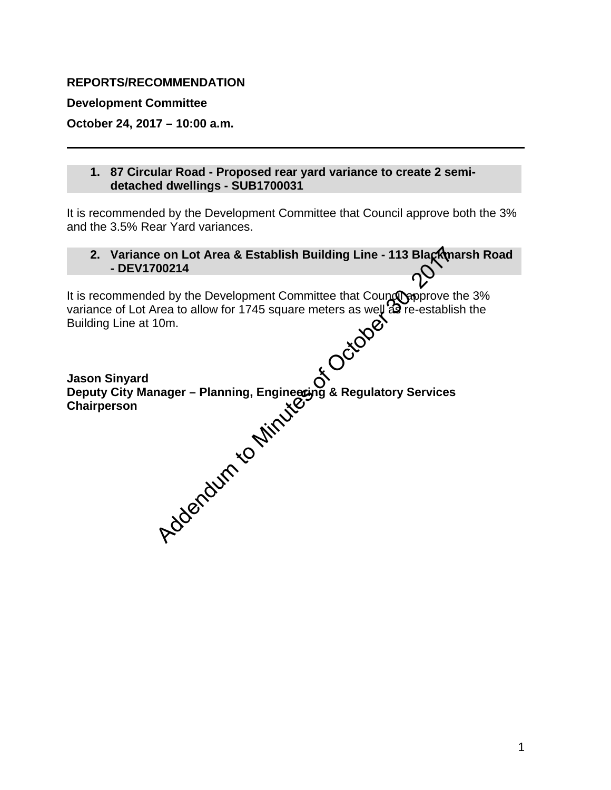## <span id="page-5-0"></span>**REPORTS/RECOMMENDATION**

**Development Committee** 

**October 24, 2017 – 10:00 a.m.** 

## **1. 87 Circular Road - Proposed rear yard variance to create 2 semidetached dwellings - SUB1700031**

It is recommended by the Development Committee that Council approve both the 3% and the 3.5% Rear Yard variances.

## 2. Variance on Lot Area & Establish Building Line - 113 Blackmarsh Road **- DEV1700214**

It is recommended by the Development Committee that Council approve the 3% variance of Lot Area to allow for 1745 square meters as well as re-establish the Building Line at 10m.

**Jason Sinyard Deputy City Manager – Planning, Engineering & Regulatory Services Chairperson**  Branch Committee that Counter - 113 Blacken<br>
Mod by the Development Committee that Counter and allow for 1745 square meters as well as re-establi<br>
Idm.<br>
Mager - Planning, Engineering & Regulatory Services<br>
Additional Model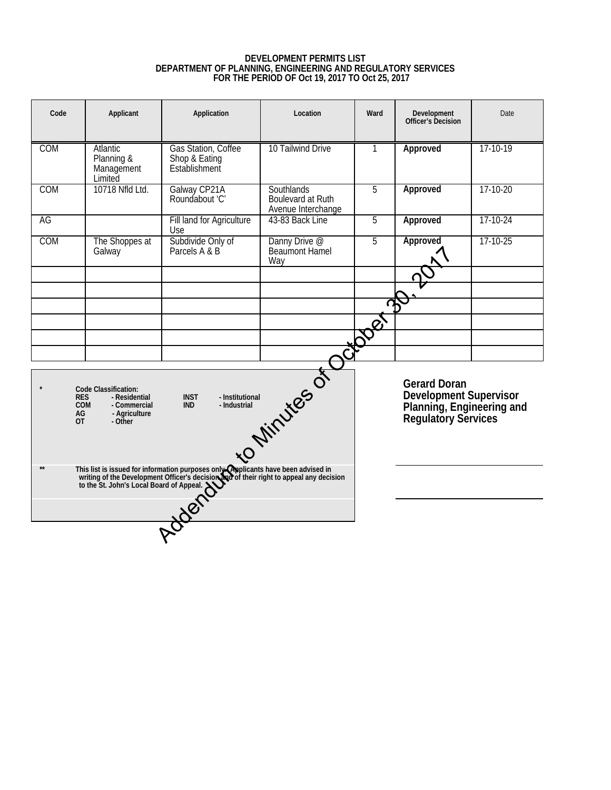# **DEVELOPMENT PERMITS LIST DEPARTMENT OF PLANNING, ENGINEERING AND REGULATORY SERVICES FOR THE PERIOD OF Oct 19, 2017 TO Oct 25, 2017**

<span id="page-6-0"></span>

| Code                                             | Applicant                                                                         | Application                                                                                                                                                                                                              | Location                                                                                          | Ward           | Development<br><b>Officer's Decision</b> | Date       |
|--------------------------------------------------|-----------------------------------------------------------------------------------|--------------------------------------------------------------------------------------------------------------------------------------------------------------------------------------------------------------------------|---------------------------------------------------------------------------------------------------|----------------|------------------------------------------|------------|
| <b>COM</b>                                       | Atlantic<br>Planning &<br>Management<br>Limited                                   | Gas Station, Coffee<br>Shop & Eating<br>Establishment                                                                                                                                                                    | 10 Tailwind Drive<br>1                                                                            |                | Approved                                 | 17-10-19   |
| <b>COM</b>                                       | 10718 Nfld Ltd.                                                                   | Galway CP21A<br>Roundabout 'C'                                                                                                                                                                                           | <b>Southlands</b><br>5<br>Boulevard at Ruth<br>Avenue Interchange                                 |                | Approved                                 | $17-10-20$ |
| AG                                               |                                                                                   | Fill land for Agriculture<br>Use                                                                                                                                                                                         | 43-83 Back Line<br>5                                                                              |                | Approved                                 | $17-10-24$ |
| COM                                              | The Shoppes at<br>Galway                                                          | Subdivide Only of<br>Parcels A & B                                                                                                                                                                                       | Danny Drive @<br>Beaumont Hamel<br>Way                                                            | $\overline{5}$ | Approved                                 | $17-10-25$ |
|                                                  |                                                                                   |                                                                                                                                                                                                                          |                                                                                                   |                |                                          |            |
|                                                  |                                                                                   |                                                                                                                                                                                                                          |                                                                                                   | Ω              |                                          |            |
|                                                  |                                                                                   |                                                                                                                                                                                                                          |                                                                                                   |                |                                          |            |
|                                                  |                                                                                   |                                                                                                                                                                                                                          |                                                                                                   |                |                                          |            |
|                                                  |                                                                                   |                                                                                                                                                                                                                          |                                                                                                   |                |                                          |            |
| <b>RES</b><br><b>COM</b><br>AG<br>$\overline{0}$ | Code Classification:<br>- Residential<br>- Commercial<br>- Agriculture<br>- Other | Nelliger Virtuites of October                                                                                                                                                                                            | <b>Gerard Doran</b><br>Development Supervisor<br>Planning, Engineering and<br>Regulatory Services |                |                                          |            |
| $**$                                             |                                                                                   | This list is issued for information purposes only explicants have been advised in<br>writing of the Development Officer's decision and of their right to appeal any decision<br>to the St. John's Local Board of Appeal. |                                                                                                   |                |                                          |            |
|                                                  |                                                                                   |                                                                                                                                                                                                                          |                                                                                                   |                |                                          |            |
|                                                  |                                                                                   |                                                                                                                                                                                                                          |                                                                                                   |                |                                          |            |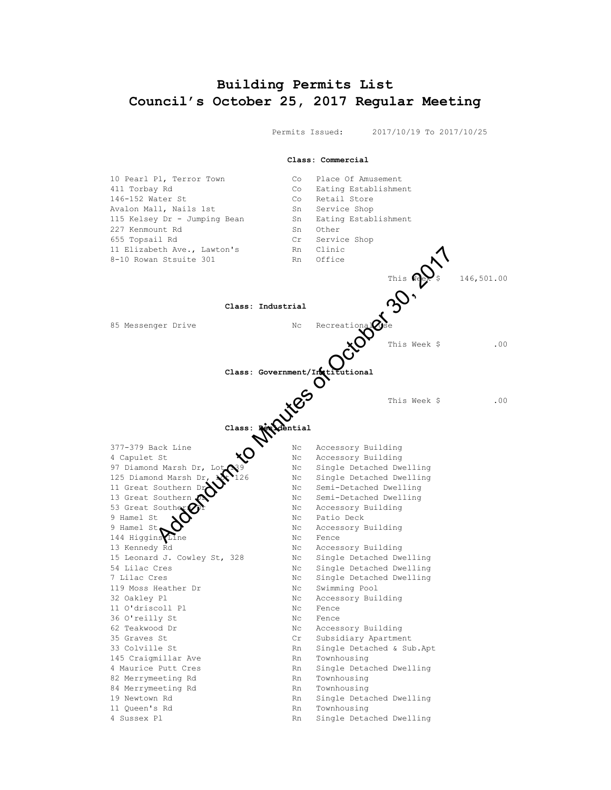# **Building Permits List Council's October 25, 2017 Regular Meeting**

<span id="page-7-0"></span> Permits Issued: 2017/10/19 To 2017/10/25 **Class: Commercial** 10 Pearl Pl, Terror Town Co Place Of Amusement 411 Torbay Rd Co Eating Establishment 146-152 Water St<br>
216-152 Water St<br>
216 November 2016<br>
216 November 2016<br>
216 November 2016<br>
216 November 2016<br>
216 November 2016<br>
216 November 2016<br>
216 November 2016<br>
216 November 2016 Avalon Mall, Nails 1st South Sn Service Shop 115 Kelsey Dr - Jumping Bean Sn Eating Establishment 227 Kenmount Rd Sn Other 655 Topsail Rd Cr Service Shop 11 Elizabeth Ave., Lawton's Rn Clinic 8-10 Rowan Stsuite 301 Rn Office This  $\sqrt{10}$   $\approx$  146,501.00 **Class: Industrial** 85 Messenger Drive No. 1986 No. Recreational Use This Week \$ .00 **Class: Government/Institutional** This Week \$ .00 **Class: Residential** 377-379 Back Line No. Nc Accessory Building 4 Capulet St  $\overline{X}$  Nc Accessory Building 97 Diamond Marsh Dr,  $\text{Lot} \, \text{N9}$  Nc Single Detached Dwelling 125 Diamond Marsh Dr, 126 Nc Single Detached Dwelling 11 Great Southern Dreit Communist No. Semi-Detached Dwelling 13 Great Southern 20 No No Semi-Detached Dwelling 53 Great Souther $\mathcal{D}$  **Dr** Nc Accessory Building 9 Hamel St  $\sum$  Nc Patio Deck 9 Hamel St  $\bigcup$  Nc Accessory Building 144 Higgins Line 144 Higgins 144 Higgins Line 13 Kennedy Rd Nc Accessory Building 15 Leonard J. Cowley St, 328 Nc Single Detached Dwelling 54 Lilac Cres Nc Single Detached Dwelling 7 Lilac Cres Nc Single Detached Dwelling 119 Moss Heather Dr Nc Swimming Pool 32 Oakley Pl **No. 1988** Nc Accessory Building 11 O'driscoll Pl Nc Fence 36 O'reilly St Nc Fence 62 Teakwood Dr Nc Accessory Building 35 Graves St Cr Subsidiary Apartment 33 Colville St Rn Single Detached & Sub.Apt 145 Craigmillar Ave Rn Townhousing 4 Maurice Putt Cres<br>
82 Merrymeeting Rd<br>
Rn Townhousing 82 Merrymeeting Rd<br>84 Merrymeeting Rd<br>Rn Townhousing 84 Merrymeeting Rd 19 Newtown Rd Rn Single Detached Dwelling 11 Oueen's Rd<br>
Rn Townhousing 4 Sussex Pl Rn Single Detached Dwelling Address: The Class: The Class of Class of Class (Secretions)<br>
This Week & Class: Covernment/Informations)<br>
Class: Government/Informational<br>
Class: Government/Informational<br>
Class: Government/Informational<br>
Class: Governmen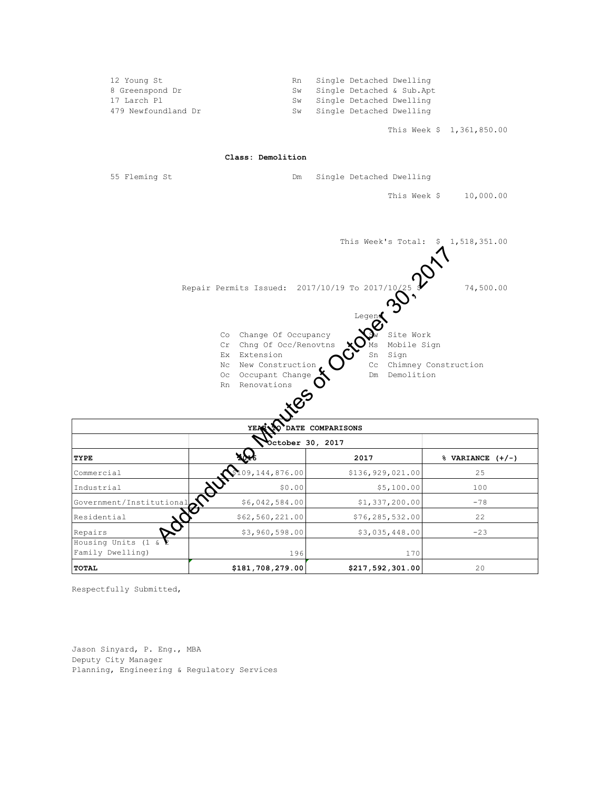| 12 Young St         | Rn Single Detached Dwelling  |
|---------------------|------------------------------|
| 8 Greenspond Dr     | Sw Single Detached & Sub.Apt |
| 17 Larch Pl         | Sw Single Detached Dwelling  |
| 479 Newfoundland Dr | Sw Single Detached Dwelling  |
|                     |                              |

This Week \$ 1,361,850.00

**Class: Demolition**

55 Fleming St Dm Single Detached Dwelling

This Week \$ 10,000.00



| DATE COMPARISONS<br>YEAR <sup>®</sup>                        |                    |                  |                      |  |  |  |  |  |
|--------------------------------------------------------------|--------------------|------------------|----------------------|--|--|--|--|--|
|                                                              | October 30, 2017   |                  |                      |  |  |  |  |  |
| TYPE                                                         |                    | 2017             | $%$ VARIANCE $(+/-)$ |  |  |  |  |  |
| Commercial                                                   | \$109, 144, 876.00 | \$136,929,021.00 | 25                   |  |  |  |  |  |
| Industrial                                                   | \$0.00             | \$5,100.00       | 100                  |  |  |  |  |  |
| Government/Institutional                                     | \$6,042,584.00     | \$1,337,200.00   | $-78$                |  |  |  |  |  |
| Residential                                                  | \$62,560,221.00    | \$76,285,532.00  | 22                   |  |  |  |  |  |
| Repairs                                                      | \$3,960,598.00     | \$3,035,448.00   | $-23$                |  |  |  |  |  |
| Housing Units (1 & $\blacktriangleright$<br>Family Dwelling) | 196                | 170              |                      |  |  |  |  |  |
| <b>TOTAL</b>                                                 | \$181,708,279.00   | \$217,592,301.00 | 20                   |  |  |  |  |  |

Respectfully Submitted,

Jason Sinyard, P. Eng., MBA Deputy City Manager Planning, Engineering & Regulatory Services